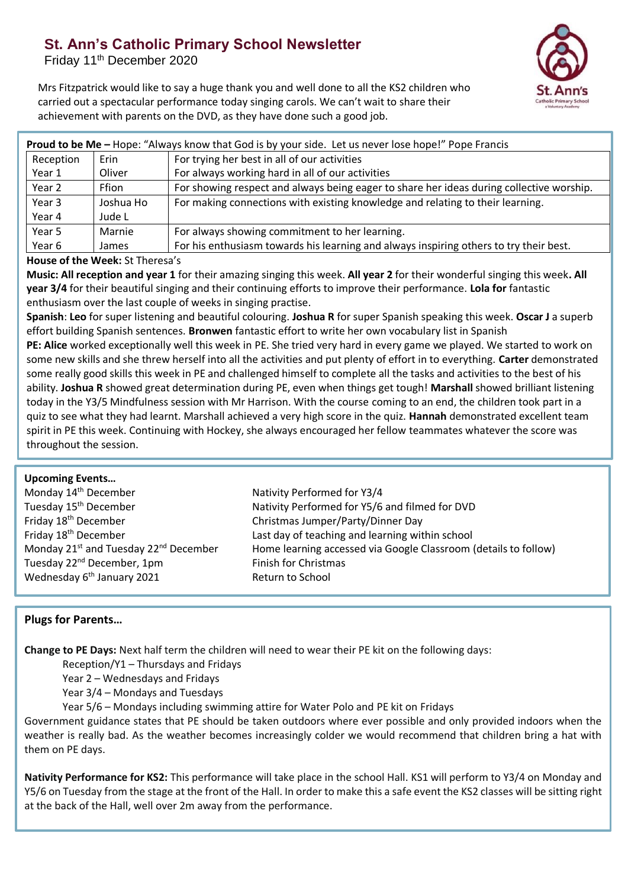# **St. Ann's Catholic Primary School Newsletter**

Friday 11<sup>th</sup> December 2020



Mrs Fitzpatrick would like to say a huge thank you and well done to all the KS2 children who carried out a spectacular performance today singing carols. We can't wait to share their achievement with parents on the DVD, as they have done such a good job.

| Proud to be Me - Hope: "Always know that God is by your side. Let us never lose hope!" Pope Francis |              |                                                                                          |  |
|-----------------------------------------------------------------------------------------------------|--------------|------------------------------------------------------------------------------------------|--|
| Reception                                                                                           | Erin         | For trying her best in all of our activities                                             |  |
| Year 1                                                                                              | Oliver       | For always working hard in all of our activities                                         |  |
| Year 2                                                                                              | <b>Ffion</b> | For showing respect and always being eager to share her ideas during collective worship. |  |
| Year 3                                                                                              | Joshua Ho    | For making connections with existing knowledge and relating to their learning.           |  |
| Year 4                                                                                              | Jude L       |                                                                                          |  |
| Year 5                                                                                              | Marnie       | For always showing commitment to her learning.                                           |  |
| Year 6                                                                                              | James        | For his enthusiasm towards his learning and always inspiring others to try their best.   |  |

#### **House of the Week:** St Theresa's

**Music: All reception and year 1** for their amazing singing this week. **All year 2** for their wonderful singing this week**. All year 3/4** for their beautiful singing and their continuing efforts to improve their performance. **Lola for** fantastic enthusiasm over the last couple of weeks in singing practise.

**Spanish**: **Leo** for super listening and beautiful colouring. **Joshua R** for super Spanish speaking this week. **Oscar J** a superb effort building Spanish sentences. **Bronwen** fantastic effort to write her own vocabulary list in Spanish

**PE: Alice** worked exceptionally well this week in PE. She tried very hard in every game we played. We started to work on some new skills and she threw herself into all the activities and put plenty of effort in to everything. **Carter** demonstrated some really good skills this week in PE and challenged himself to complete all the tasks and activities to the best of his ability. **Joshua R** showed great determination during PE, even when things get tough! **Marshall** showed brilliant listening today in the Y3/5 Mindfulness session with Mr Harrison. With the course coming to an end, the children took part in a quiz to see what they had learnt. Marshall achieved a very high score in the quiz. **Hannah** demonstrated excellent team spirit in PE this week. Continuing with Hockey, she always encouraged her fellow teammates whatever the score was throughout the session.

## **Upcoming Events…**

| Monday 14 <sup>th</sup> December                              | Nativity Performed for Y3/4                                     |
|---------------------------------------------------------------|-----------------------------------------------------------------|
| Tuesday 15 <sup>th</sup> December                             | Nativity Performed for Y5/6 and filmed for DVD                  |
| Friday 18 <sup>th</sup> December                              | Christmas Jumper/Party/Dinner Day                               |
| Friday 18 <sup>th</sup> December                              | Last day of teaching and learning within school                 |
| Monday 21 <sup>st</sup> and Tuesday 22 <sup>nd</sup> December | Home learning accessed via Google Classroom (details to follow) |
| Tuesday 22 <sup>nd</sup> December, 1pm                        | Finish for Christmas                                            |
| Wednesday 6 <sup>th</sup> January 2021                        | Return to School                                                |
|                                                               |                                                                 |

## **Plugs for Parents…**

**Change to PE Days:** Next half term the children will need to wear their PE kit on the following days:

Reception/Y1 – Thursdays and Fridays

Year 2 – Wednesdays and Fridays

Year 3/4 – Mondays and Tuesdays

Year 5/6 – Mondays including swimming attire for Water Polo and PE kit on Fridays

Government guidance states that PE should be taken outdoors where ever possible and only provided indoors when the weather is really bad. As the weather becomes increasingly colder we would recommend that children bring a hat with them on PE days.

**Nativity Performance for KS2:** This performance will take place in the school Hall. KS1 will perform to Y3/4 on Monday and Y5/6 on Tuesday from the stage at the front of the Hall. In order to make this a safe event the KS2 classes will be sitting right at the back of the Hall, well over 2m away from the performance.